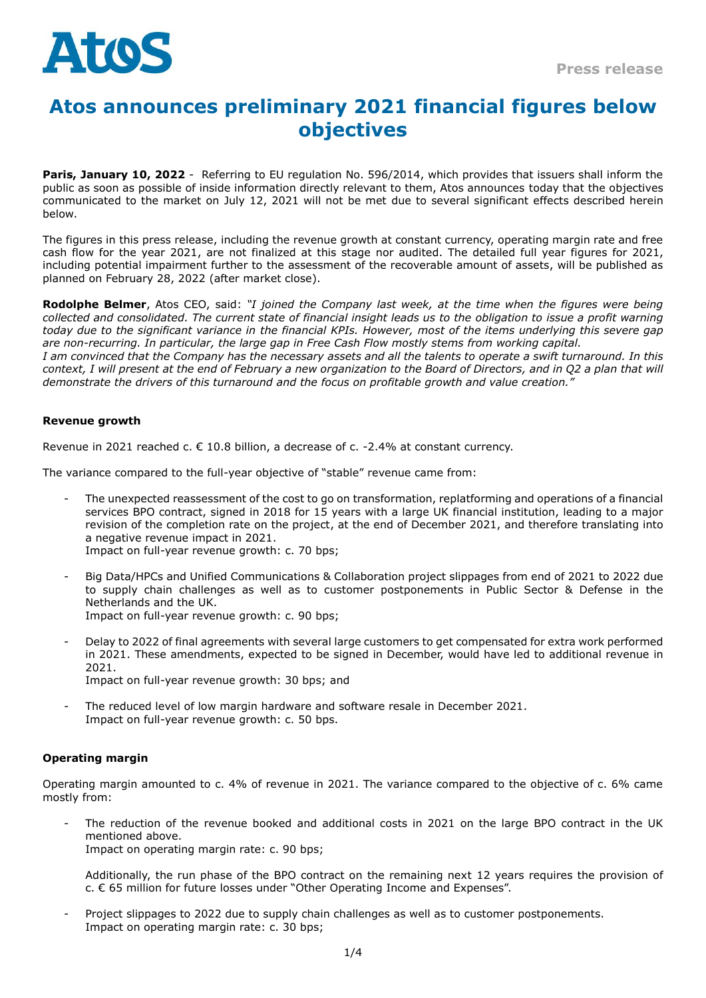

# **Atos announces preliminary 2021 financial figures below objectives**

**Paris, January 10, 2022** - Referring to EU regulation No. 596/2014, which provides that issuers shall inform the public as soon as possible of inside information directly relevant to them, Atos announces today that the objectives communicated to the market on July 12, 2021 will not be met due to several significant effects described herein below.

The figures in this press release, including the revenue growth at constant currency, operating margin rate and free cash flow for the year 2021, are not finalized at this stage nor audited. The detailed full year figures for 2021, including potential impairment further to the assessment of the recoverable amount of assets, will be published as planned on February 28, 2022 (after market close).

**Rodolphe Belmer**, Atos CEO, said: *"I joined the Company last week, at the time when the figures were being collected and consolidated. The current state of financial insight leads us to the obligation to issue a profit warning today due to the significant variance in the financial KPIs. However, most of the items underlying this severe gap are non-recurring. In particular, the large gap in Free Cash Flow mostly stems from working capital.*

*I am convinced that the Company has the necessary assets and all the talents to operate a swift turnaround. In this context, I will present at the end of February a new organization to the Board of Directors, and in Q2 a plan that will demonstrate the drivers of this turnaround and the focus on profitable growth and value creation."*

# **Revenue growth**

Revenue in 2021 reached c.  $\epsilon$  10.8 billion, a decrease of c. -2.4% at constant currency.

The variance compared to the full-year objective of "stable" revenue came from:

- The unexpected reassessment of the cost to go on transformation, replatforming and operations of a financial services BPO contract, signed in 2018 for 15 years with a large UK financial institution, leading to a major revision of the completion rate on the project, at the end of December 2021, and therefore translating into a negative revenue impact in 2021. Impact on full-year revenue growth: c. 70 bps;
- 
- Big Data/HPCs and Unified Communications & Collaboration project slippages from end of 2021 to 2022 due to supply chain challenges as well as to customer postponements in Public Sector & Defense in the Netherlands and the UK. Impact on full-year revenue growth: c. 90 bps;
- Delay to 2022 of final agreements with several large customers to get compensated for extra work performed in 2021. These amendments, expected to be signed in December, would have led to additional revenue in 2021. Impact on full-year revenue growth: 30 bps; and
- The reduced level of low margin hardware and software resale in December 2021. Impact on full-year revenue growth: c. 50 bps.

# **Operating margin**

Operating margin amounted to c. 4% of revenue in 2021. The variance compared to the objective of c. 6% came mostly from:

The reduction of the revenue booked and additional costs in 2021 on the large BPO contract in the UK mentioned above. Impact on operating margin rate: c. 90 bps;

Additionally, the run phase of the BPO contract on the remaining next 12 years requires the provision of c. € 65 million for future losses under "Other Operating Income and Expenses".

Project slippages to 2022 due to supply chain challenges as well as to customer postponements. Impact on operating margin rate: c. 30 bps;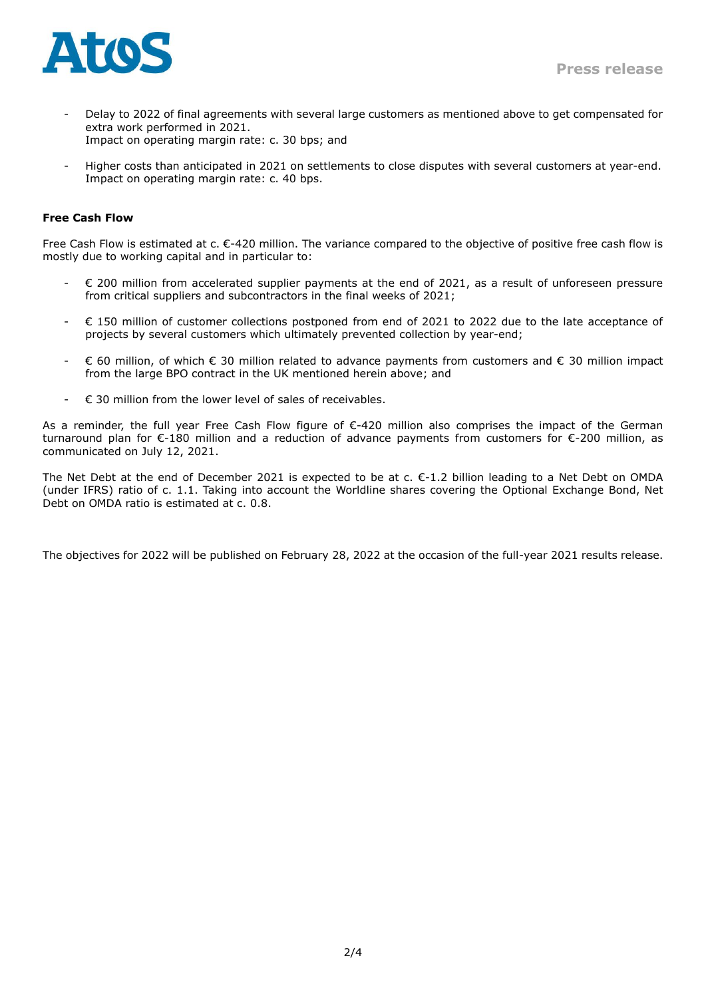

- Delay to 2022 of final agreements with several large customers as mentioned above to get compensated for extra work performed in 2021. Impact on operating margin rate: c. 30 bps; and
- Higher costs than anticipated in 2021 on settlements to close disputes with several customers at year-end. Impact on operating margin rate: c. 40 bps.

## **Free Cash Flow**

Free Cash Flow is estimated at c. €-420 million. The variance compared to the objective of positive free cash flow is mostly due to working capital and in particular to:

- € 200 million from accelerated supplier payments at the end of 2021, as a result of unforeseen pressure from critical suppliers and subcontractors in the final weeks of 2021;
- € 150 million of customer collections postponed from end of 2021 to 2022 due to the late acceptance of projects by several customers which ultimately prevented collection by year-end;
- € 60 million, of which € 30 million related to advance payments from customers and € 30 million impact from the large BPO contract in the UK mentioned herein above; and
- $\epsilon$  30 million from the lower level of sales of receivables.

As a reminder, the full year Free Cash Flow figure of €-420 million also comprises the impact of the German turnaround plan for €-180 million and a reduction of advance payments from customers for €-200 million, as communicated on July 12, 2021.

The Net Debt at the end of December 2021 is expected to be at c.  $\epsilon$ -1.2 billion leading to a Net Debt on OMDA (under IFRS) ratio of c. 1.1. Taking into account the Worldline shares covering the Optional Exchange Bond, Net Debt on OMDA ratio is estimated at c. 0.8.

The objectives for 2022 will be published on February 28, 2022 at the occasion of the full-year 2021 results release.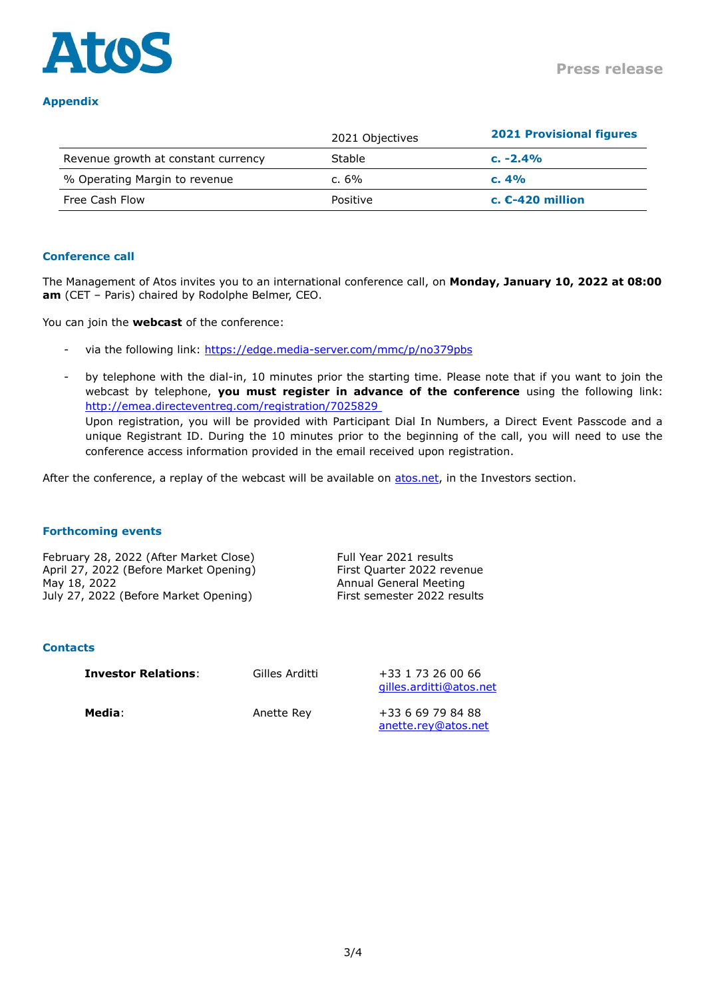

## **Appendix**

|                                     | 2021 Objectives | <b>2021 Provisional figures</b> |
|-------------------------------------|-----------------|---------------------------------|
| Revenue growth at constant currency | Stable          | $c. -2.4%$                      |
| % Operating Margin to revenue       | c. $6\%$        | c.4%                            |
| Free Cash Flow                      | Positive        | c. $E-420$ million              |

## **Conference call**

The Management of Atos invites you to an international conference call, on **Monday, January 10, 2022 at 08:00 am** (CET – Paris) chaired by Rodolphe Belmer, CEO.

You can join the **webcast** of the conference:

- via the following link:<https://edge.media-server.com/mmc/p/no379pbs>
- by telephone with the dial-in, 10 minutes prior the starting time. Please note that if you want to join the webcast by telephone, **you must register in advance of the conference** using the following link: http://emea.directeventreg.com/registration/7025829 Upon registration, you will be provided with Participant Dial In Numbers, a Direct Event Passcode and a unique Registrant ID. During the 10 minutes prior to the beginning of the call, you will need to use the conference access information provided in the email received upon registration.

After the conference, a replay of the webcast will be available on [atos.net,](https://atos.net/en/investors) in the Investors section.

### **Forthcoming events**

February 28, 2022 (After Market Close) Full Year 2021 results April 27, 2022 (Before Market Opening) First Quarter 2022 revenue May 18, 2022 **Annual General Meeting** July 27, 2022 (Before Market Opening) First semester 2022 results

#### **Contacts**

**Investor Relations:** Gilles Arditti +33 1 73 26 00 66

[gilles.arditti@atos.net](mailto:gilles.arditti@atos.net)

**Media**: **Anette Rev +33 6 69 79 84 88** [anette.rey@atos.net](mailto:anette.rey@atos.net)